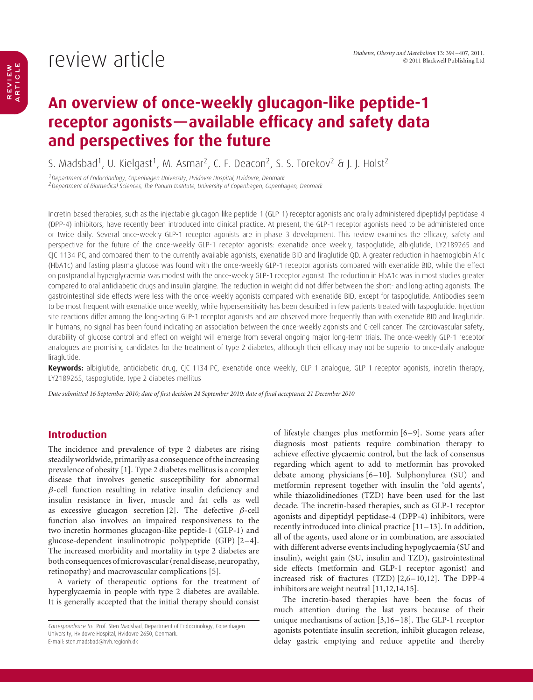# review article

### **An overview of once-weekly glucagon-like peptide-1 receptor agonists—available efficacy and safety data and perspectives for the future**

S. Madsbad<sup>1</sup>, U. Kielgast<sup>1</sup>, M. Asmar<sup>2</sup>, C. F. Deacon<sup>2</sup>, S. S. Torekov<sup>2</sup> & J. J. Holst<sup>2</sup>

<sup>1</sup>Department of Endocrinology, Copenhagen University, Hvidovre Hospital, Hvidovre, Denmark

<sup>2</sup> Department of Biomedical Sciences, The Panum Institute, University of Copenhagen, Copenhagen, Denmark

Incretin-based therapies, such as the injectable glucagon-like peptide-1 (GLP-1) receptor agonists and orally administered dipeptidyl peptidase-4 (DPP-4) inhibitors, have recently been introduced into clinical practice. At present, the GLP-1 receptor agonists need to be administered once or twice daily. Several once-weekly GLP-1 receptor agonists are in phase 3 development. This review examines the efficacy, safety and perspective for the future of the once-weekly GLP-1 receptor agonists: exenatide once weekly, taspoglutide, albiglutide, LY2189265 and CJC-1134-PC, and compared them to the currently available agonists, exenatide BID and liraglutide QD. A greater reduction in haemoglobin A1c (HbA1c) and fasting plasma glucose was found with the once-weekly GLP-1 receptor agonists compared with exenatide BID, while the effect on postprandial hyperglycaemia was modest with the once-weekly GLP-1 receptor agonist. The reduction in HbA1c was in most studies greater compared to oral antidiabetic drugs and insulin glargine. The reduction in weight did not differ between the short- and long-acting agonists. The gastrointestinal side effects were less with the once-weekly agonists compared with exenatide BID, except for taspoglutide. Antibodies seem to be most frequent with exenatide once weekly, while hypersensitivity has been described in few patients treated with taspoglutide. Injection site reactions differ among the long-acting GLP-1 receptor agonists and are observed more frequently than with exenatide BID and liraglutide. In humans, no signal has been found indicating an association between the once-weekly agonists and C-cell cancer. The cardiovascular safety, durability of glucose control and effect on weight will emerge from several ongoing major long-term trials. The once-weekly GLP-1 receptor analogues are promising candidates for the treatment of type 2 diabetes, although their efficacy may not be superior to once-daily analogue liraglutide.

**Keywords:** albiglutide, antidiabetic drug, CJC-1134-PC, exenatide once weekly, GLP-1 analogue, GLP-1 receptor agonists, incretin therapy, LY2189265, taspoglutide, type 2 diabetes mellitus

*Date submitted 16 September 2010; date of first decision 24 September 2010; date of final acceptance 21 December 2010*

### **Introduction**

The incidence and prevalence of type 2 diabetes are rising steadily worldwide, primarily as a consequence of the increasing prevalence of obesity [1]. Type 2 diabetes mellitus is a complex disease that involves genetic susceptibility for abnormal  $\beta$ -cell function resulting in relative insulin deficiency and insulin resistance in liver, muscle and fat cells as well as excessive glucagon secretion [2]. The defective  $\beta$ -cell function also involves an impaired responsiveness to the two incretin hormones glucagon-like peptide-1 (GLP-1) and glucose-dependent insulinotropic polypeptide (GIP) [2–4]. The increased morbidity and mortality in type 2 diabetes are both consequences ofmicrovascular (renal disease, neuropathy, retinopathy) and macrovascular complications [5].

A variety of therapeutic options for the treatment of hyperglycaemia in people with type 2 diabetes are available. It is generally accepted that the initial therapy should consist of lifestyle changes plus metformin [6–9]. Some years after diagnosis most patients require combination therapy to achieve effective glycaemic control, but the lack of consensus regarding which agent to add to metformin has provoked debate among physicians [6–10]. Sulphonylurea (SU) and metformin represent together with insulin the 'old agents', while thiazolidinediones (TZD) have been used for the last decade. The incretin-based therapies, such as GLP-1 receptor agonists and dipeptidyl peptidase-4 (DPP-4) inhibitors, were recently introduced into clinical practice [11–13]. In addition, all of the agents, used alone or in combination, are associated with different adverse events including hypoglycaemia (SU and insulin), weight gain (SU, insulin and TZD), gastrointestinal side effects (metformin and GLP-1 receptor agonist) and increased risk of fractures (TZD) [2,6–10,12]. The DPP-4 inhibitors are weight neutral [11,12,14,15].

The incretin-based therapies have been the focus of much attention during the last years because of their unique mechanisms of action [3,16–18]. The GLP-1 receptor agonists potentiate insulin secretion, inhibit glucagon release, delay gastric emptying and reduce appetite and thereby

Correspondence to: Prof. Sten Madsbad, Department of Endocrinology, Copenhagen University, Hvidovre Hospital, Hvidovre 2650, Denmark. E-mail: sten.madsbad@hvh.regionh.dk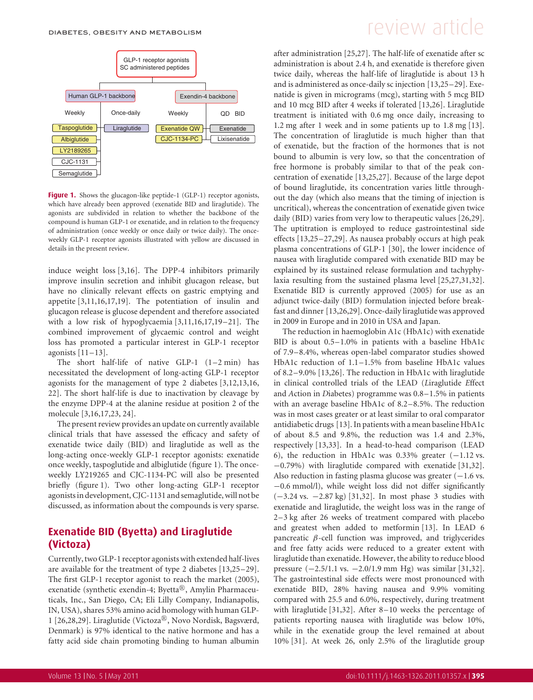

Figure 1. Shows the glucagon-like peptide-1 (GLP-1) receptor agonists, which have already been approved (exenatide BID and liraglutide). The agonists are subdivided in relation to whether the backbone of the compound is human GLP-1 or exenatide, and in relation to the frequency of administration (once weekly or once daily or twice daily). The onceweekly GLP-1 receptor agonists illustrated with yellow are discussed in details in the present review.

induce weight loss [3,16]. The DPP-4 inhibitors primarily improve insulin secretion and inhibit glucagon release, but have no clinically relevant effects on gastric emptying and appetite [3,11,16,17,19]. The potentiation of insulin and glucagon release is glucose dependent and therefore associated with a low risk of hypoglycaemia [3,11,16,17,19–21]. The combined improvement of glycaemic control and weight loss has promoted a particular interest in GLP-1 receptor agonists  $[11-13]$ .

The short half-life of native GLP-1 (1–2 min) has necessitated the development of long-acting GLP-1 receptor agonists for the management of type 2 diabetes [3,12,13,16, 22]. The short half-life is due to inactivation by cleavage by the enzyme DPP-4 at the alanine residue at position 2 of the molecule [3,16,17,23, 24].

The present review provides an update on currently available clinical trials that have assessed the efficacy and safety of exenatide twice daily (BID) and liraglutide as well as the long-acting once-weekly GLP-1 receptor agonists: exenatide once weekly, taspoglutide and albiglutide (figure 1). The onceweekly LY219265 and CJC-1134-PC will also be presented briefly (figure 1). Two other long-acting GLP-1 receptor agonists in development, CJC-1131 and semaglutide, will not be discussed, as information about the compounds is very sparse.

### **Exenatide BID (Byetta) and Liraglutide (Victoza)**

Currently, two GLP-1 receptor agonists with extended half-lives are available for the treatment of type 2 diabetes [13,25–29]. The first GLP-1 receptor agonist to reach the market (2005), exenatide (synthetic exendin-4; Byetta®, Amylin Pharmaceuticals, Inc., San Diego, CA; Eli Lilly Company, Indianapolis, IN, USA), shares 53% amino acid homology with human GLP-1 [26,28,29]. Liraglutide (Victoza®, Novo Nordisk, Bagsværd, Denmark) is 97% identical to the native hormone and has a fatty acid side chain promoting binding to human albumin

# DIABETES, OBESITY AND METABOLISM  $F$  and  $F$  are view articles are very set of  $F$

after administration [25,27]. The half-life of exenatide after sc administration is about 2.4 h, and exenatide is therefore given twice daily, whereas the half-life of liraglutide is about 13 h and is administered as once-daily sc injection [13,25–29]. Exenatide is given in micrograms (mcg), starting with 5 mcg BID and 10 mcg BID after 4 weeks if tolerated [13,26]. Liraglutide treatment is initiated with 0.6 mg once daily, increasing to 1.2 mg after 1 week and in some patients up to 1.8 mg [13]. The concentration of liraglutide is much higher than that of exenatide, but the fraction of the hormones that is not bound to albumin is very low, so that the concentration of free hormone is probably similar to that of the peak concentration of exenatide [13,25,27]. Because of the large depot of bound liraglutide, its concentration varies little throughout the day (which also means that the timing of injection is uncritical), whereas the concentration of exenatide given twice daily (BID) varies from very low to therapeutic values [26,29]. The uptitration is employed to reduce gastrointestinal side effects [13,25–27,29]. As nausea probably occurs at high peak plasma concentrations of GLP-1 [30], the lower incidence of nausea with liraglutide compared with exenatide BID may be explained by its sustained release formulation and tachyphylaxia resulting from the sustained plasma level [25,27,31,32]. Exenatide BID is currently approved (2005) for use as an adjunct twice-daily (BID) formulation injected before breakfast and dinner [13,26,29]. Once-daily liraglutide was approved in 2009 in Europe and in 2010 in USA and Japan.

The reduction in haemoglobin A1c (HbA1c) with exenatide BID is about 0.5–1.0% in patients with a baseline HbA1c of 7.9–8.4%, whereas open-label comparator studies showed HbA1c reduction of 1.1–1.5% from baseline HbA1c values of 8.2–9.0% [13,26]. The reduction in HbA1c with liraglutide in clinical controlled trials of the LEAD (*L*iraglutide *E*ffect and *A*ction in *D*iabetes) programme was 0.8–1.5% in patients with an average baseline HbA1c of 8.2–8.5%. The reduction was in most cases greater or at least similar to oral comparator antidiabetic drugs [13]. In patients with a mean baseline HbA1c of about 8.5 and 9.8%, the reduction was 1.4 and 2.3%, respectively [13,33]. In a head-to-head comparison (LEAD 6), the reduction in HbA1c was 0.33% greater  $(-1.12 \text{ vs.})$ −0.79%) with liraglutide compared with exenatide [31,32]. Also reduction in fasting plasma glucose was greater  $(-1.6 \text{ vs.})$ −0.6 mmol/l), while weight loss did not differ significantly (−3.24 vs. −2.87 kg) [31,32]. In most phase 3 studies with exenatide and liraglutide, the weight loss was in the range of 2–3 kg after 26 weeks of treatment compared with placebo and greatest when added to metformin [13]. In LEAD 6 pancreatic β-cell function was improved, and triglycerides and free fatty acids were reduced to a greater extent with liraglutide than exenatide. However, the ability to reduce blood pressure (−2.5/1.1 vs. −2.0/1.9 mm Hg) was similar [31,32]. The gastrointestinal side effects were most pronounced with exenatide BID, 28% having nausea and 9.9% vomiting compared with 25.5 and 6.0%, respectively, during treatment with liraglutide [31,32]. After 8–10 weeks the percentage of patients reporting nausea with liraglutide was below 10%, while in the exenatide group the level remained at about 10% [31]. At week 26, only 2.5% of the liraglutide group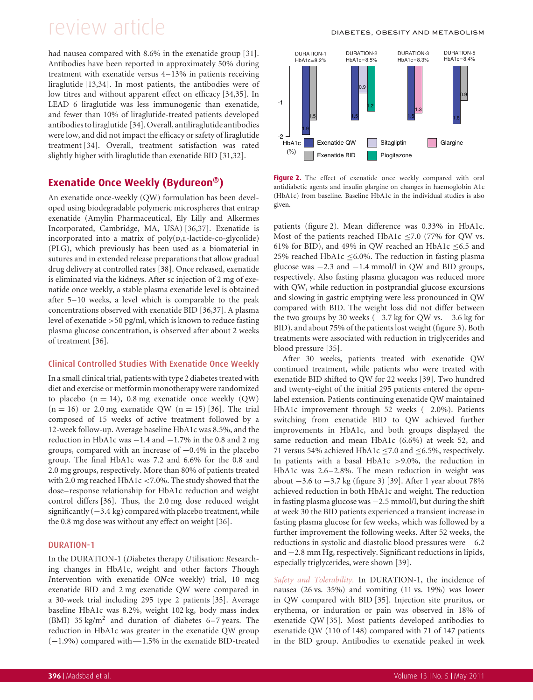had nausea compared with 8.6% in the exenatide group [31]. Antibodies have been reported in approximately 50% during treatment with exenatide versus 4–13% in patients receiving liraglutide [13,34]. In most patients, the antibodies were of low titres and without apparent effect on efficacy [34,35]. In LEAD 6 liraglutide was less immunogenic than exenatide, and fewer than 10% of liraglutide-treated patients developed antibodies to liraglutide [34]. Overall, antiliraglutide antibodies were low, and did not impact the efficacy or safety of liraglutide treatment [34]. Overall, treatment satisfaction was rated slightly higher with liraglutide than exenatide BID [31,32].

### **Exenatide Once Weekly (Bydureon)**

An exenatide once-weekly (QW) formulation has been developed using biodegradable polymeric microspheres that entrap exenatide (Amylin Pharmaceutical, Ely Lilly and Alkermes Incorporated, Cambridge, MA, USA) [36,37]. Exenatide is incorporated into a matrix of  $poly(p,L-lactide-co-glycolide)$ (PLG), which previously has been used as a biomaterial in sutures and in extended release preparations that allow gradual drug delivery at controlled rates [38]. Once released, exenatide is eliminated via the kidneys. After sc injection of 2 mg of exenatide once weekly, a stable plasma exenatide level is obtained after 5–10 weeks, a level which is comparable to the peak concentrations observed with exenatide BID [36,37]. A plasma level of exenatide >50 pg/ml, which is known to reduce fasting plasma glucose concentration, is observed after about 2 weeks of treatment [36].

### Clinical Controlled Studies With Exenatide Once Weekly

In a small clinical trial, patients with type 2 diabetes treated with diet and exercise or metformin monotherapy were randomized to placebo  $(n = 14)$ , 0.8 mg exenatide once weekly  $(QW)$  $(n = 16)$  or 2.0 mg exenatide QW  $(n = 15)$  [36]. The trial composed of 15 weeks of active treatment followed by a 12-week follow-up. Average baseline HbA1c was 8.5%, and the reduction in HbA1c was −1.4 and −1.7% in the 0.8 and 2 mg groups, compared with an increase of  $+0.4\%$  in the placebo group. The final HbA1c was 7.2 and 6.6% for the 0.8 and 2.0 mg groups, respectively. More than 80% of patients treated with 2.0 mg reached HbA1c <7.0%. The study showed that the dose–response relationship for HbA1c reduction and weight control differs [36]. Thus, the 2.0 mg dose reduced weight significantly (−3.4 kg) compared with placebo treatment, while the 0.8 mg dose was without any effect on weight [36].

### DURATION-1

In the DURATION-1 (*D*iabetes therapy *U*tilisation: *R*esearching changes in Hb*A*1c, weight and other factors *T*hough *I*ntervention with exenatide *ON*ce weekly) trial, 10 mcg exenatide BID and 2 mg exenatide QW were compared in a 30-week trial including 295 type 2 patients [35]. Average baseline HbA1c was 8.2%, weight 102 kg, body mass index (BMI)  $35 \text{ kg/m}^2$  and duration of diabetes 6-7 years. The reduction in HbA1c was greater in the exenatide QW group (−1.9%) compared with—1.5% in the exenatide BID-treated



Figure 2. The effect of exenatide once weekly compared with oral antidiabetic agents and insulin glargine on changes in haemoglobin A1c (HbA1c) from baseline. Baseline HbA1c in the individual studies is also given.

patients (figure 2). Mean difference was 0.33% in HbA1c. Most of the patients reached HbA1c  $\leq$ 7.0 (77% for QW vs. 61% for BID), and 49% in QW reached an HbA1c  $\leq$ 6.5 and 25% reached HbA1c ≤6.0%. The reduction in fasting plasma glucose was  $-2.3$  and  $-1.4$  mmol/l in QW and BID groups, respectively. Also fasting plasma glucagon was reduced more with QW, while reduction in postprandial glucose excursions and slowing in gastric emptying were less pronounced in QW compared with BID. The weight loss did not differ between the two groups by 30 weeks  $(-3.7 \text{ kg for QW vs. } -3.6 \text{ kg for }$ BID), and about 75% of the patients lost weight (figure 3). Both treatments were associated with reduction in triglycerides and blood pressure [35].

After 30 weeks, patients treated with exenatide QW continued treatment, while patients who were treated with exenatide BID shifted to QW for 22 weeks [39]. Two hundred and twenty-eight of the initial 295 patients entered the openlabel extension. Patients continuing exenatide QW maintained HbA1c improvement through 52 weeks (−2.0%). Patients switching from exenatide BID to QW achieved further improvements in HbA1c, and both groups displayed the same reduction and mean HbA1c (6.6%) at week 52, and 71 versus 54% achieved HbA1c  $\leq$ 7.0 and  $\leq$ 6.5%, respectively. In patients with a basal HbA1c >9.0%, the reduction in HbA1c was 2.6–2.8%. The mean reduction in weight was about −3.6 to −3.7 kg (figure 3) [39]. After 1 year about 78% achieved reduction in both HbA1c and weight. The reduction in fasting plasma glucose was −2.5 mmol/l, but during the shift at week 30 the BID patients experienced a transient increase in fasting plasma glucose for few weeks, which was followed by a further improvement the following weeks. After 52 weeks, the reductions in systolic and diastolic blood pressures were −6.2 and −2.8 mm Hg, respectively. Significant reductions in lipids, especially triglycerides, were shown [39].

*Safety and Tolerability.* In DURATION-1, the incidence of nausea (26 vs. 35%) and vomiting (11 vs. 19%) was lower in QW compared with BID [35]. Injection site pruritus, or erythema, or induration or pain was observed in 18% of exenatide QW [35]. Most patients developed antibodies to exenatide QW (110 of 148) compared with 71 of 147 patients in the BID group. Antibodies to exenatide peaked in week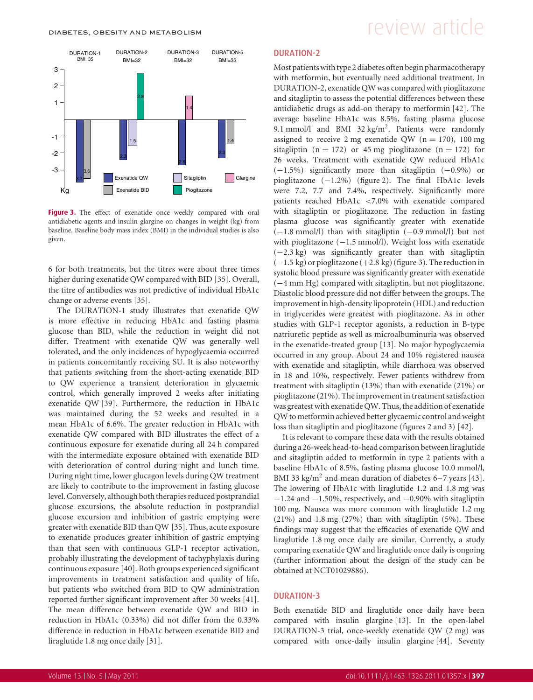

**Figure 3.** The effect of exenatide once weekly compared with oral antidiabetic agents and insulin glargine on changes in weight (kg) from baseline. Baseline body mass index (BMI) in the individual studies is also given.

6 for both treatments, but the titres were about three times higher during exenatide QW compared with BID [35]. Overall, the titre of antibodies was not predictive of individual HbA1c change or adverse events [35].

The DURATION-1 study illustrates that exenatide QW is more effective in reducing HbA1c and fasting plasma glucose than BID, while the reduction in weight did not differ. Treatment with exenatide QW was generally well tolerated, and the only incidences of hypoglycaemia occurred in patients concomitantly receiving SU. It is also noteworthy that patients switching from the short-acting exenatide BID to QW experience a transient deterioration in glycaemic control, which generally improved 2 weeks after initiating exenatide QW [39]. Furthermore, the reduction in HbA1c was maintained during the 52 weeks and resulted in a mean HbA1c of 6.6%. The greater reduction in HbA1c with exenatide QW compared with BID illustrates the effect of a continuous exposure for exenatide during all 24 h compared with the intermediate exposure obtained with exenatide BID with deterioration of control during night and lunch time. During night time, lower glucagon levels during QW treatment are likely to contribute to the improvement in fasting glucose level. Conversely, although both therapies reduced postprandial glucose excursions, the absolute reduction in postprandial glucose excursion and inhibition of gastric emptying were greater with exenatide BID than QW [35]. Thus, acute exposure to exenatide produces greater inhibition of gastric emptying than that seen with continuous GLP-1 receptor activation, probably illustrating the development of tachyphylaxis during continuous exposure [40]. Both groups experienced significant improvements in treatment satisfaction and quality of life, but patients who switched from BID to QW administration reported further significant improvement after 30 weeks [41]. The mean difference between exenatide QW and BID in reduction in HbA1c (0.33%) did not differ from the 0.33% difference in reduction in HbA1c between exenatide BID and liraglutide 1.8 mg once daily [31].

#### DURATION-2

Most patientswith type 2 diabetes often begin pharmacotherapy with metformin, but eventually need additional treatment. In DURATION-2, exenatide QW was compared with pioglitazone and sitagliptin to assess the potential differences between these antidiabetic drugs as add-on therapy to metformin [42]. The average baseline HbA1c was 8.5%, fasting plasma glucose 9.1 mmol/l and BMI 32 kg/m<sup>2</sup>. Patients were randomly assigned to receive 2 mg exenatide QW ( $n = 170$ ), 100 mg sitagliptin ( $n = 172$ ) or 45 mg pioglitazone ( $n = 172$ ) for 26 weeks. Treatment with exenatide QW reduced HbA1c (−1.5%) significantly more than sitagliptin (−0.9%) or pioglitazone (−1.2%) (figure 2). The final HbA1c levels were 7.2, 7.7 and 7.4%, respectively. Significantly more patients reached HbA1c <7.0% with exenatide compared with sitagliptin or pioglitazone. The reduction in fasting plasma glucose was significantly greater with exenatide (−1.8 mmol/l) than with sitagliptin (−0.9 mmol/l) but not with pioglitazone (−1.5 mmol/l). Weight loss with exenatide (−2.3 kg) was significantly greater than with sitagliptin (−1.5 kg) or pioglitazone (+2.8 kg) (figure 3). The reduction in systolic blood pressure was significantly greater with exenatide (−4 mm Hg) compared with sitagliptin, but not pioglitazone. Diastolic blood pressure did not differ between the groups. The improvement in high-density lipoprotein (HDL) and reduction in triglycerides were greatest with pioglitazone. As in other studies with GLP-1 receptor agonists, a reduction in B-type natriuretic peptide as well as microalbuminuria was observed in the exenatide-treated group [13]. No major hypoglycaemia occurred in any group. About 24 and 10% registered nausea with exenatide and sitagliptin, while diarrhoea was observed in 18 and 10%, respectively. Fewer patients withdrew from treatment with sitagliptin (13%) than with exenatide (21%) or pioglitazone (21%). The improvement in treatment satisfaction was greatest with exenatide QW. Thus, the addition of exenatide QW to metformin achieved better glycaemic control and weight loss than sitagliptin and pioglitazone (figures 2 and 3) [42].

It is relevant to compare these data with the results obtained during a 26-week head-to-head comparison between liraglutide and sitagliptin added to metformin in type 2 patients with a baseline HbA1c of 8.5%, fasting plasma glucose 10.0 mmol/l, BMI 33 kg/m<sup>2</sup> and mean duration of diabetes  $6-7$  years [43]. The lowering of HbA1c with liraglutide 1.2 and 1.8 mg was  $-1.24$  and  $-1.50\%$ , respectively, and  $-0.90\%$  with sitagliptin 100 mg. Nausea was more common with liraglutide 1.2 mg (21%) and 1.8 mg (27%) than with sitagliptin (5%). These findings may suggest that the efficacies of exenatide QW and liraglutide 1.8 mg once daily are similar. Currently, a study comparing exenatide QW and liraglutide once daily is ongoing (further information about the design of the study can be obtained at NCT01029886).

#### DURATION-3

Both exenatide BID and liraglutide once daily have been compared with insulin glargine [13]. In the open-label DURATION-3 trial, once-weekly exenatide QW (2 mg) was compared with once-daily insulin glargine [44]. Seventy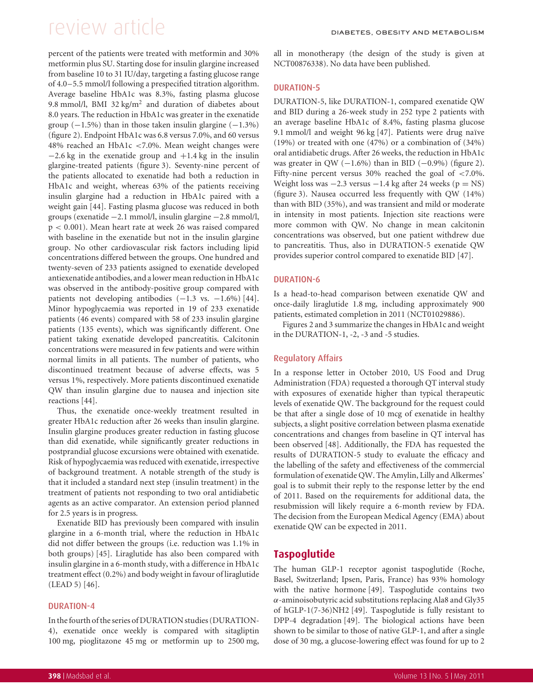percent of the patients were treated with metformin and 30% metformin plus SU. Starting dose for insulin glargine increased from baseline 10 to 31 IU/day, targeting a fasting glucose range of 4.0–5.5 mmol/l following a prespecified titration algorithm. Average baseline HbA1c was 8.3%, fasting plasma glucose 9.8 mmol/l, BMI 32 kg/m<sup>2</sup> and duration of diabetes about 8.0 years. The reduction in HbA1c was greater in the exenatide group  $(-1.5\%)$  than in those taken insulin glargine  $(-1.3\%)$ (figure 2). Endpoint HbA1c was 6.8 versus 7.0%, and 60 versus 48% reached an HbA1c <7.0%. Mean weight changes were  $-2.6$  kg in the exenatide group and  $+1.4$  kg in the insulin glargine-treated patients (figure 3). Seventy-nine percent of the patients allocated to exenatide had both a reduction in HbA1c and weight, whereas 63% of the patients receiving insulin glargine had a reduction in HbA1c paired with a weight gain [44]. Fasting plasma glucose was reduced in both groups (exenatide −2.1 mmol/l, insulin glargine −2.8 mmol/l, p < 0.001). Mean heart rate at week 26 was raised compared with baseline in the exenatide but not in the insulin glargine group. No other cardiovascular risk factors including lipid concentrations differed between the groups. One hundred and twenty-seven of 233 patients assigned to exenatide developed antiexenatide antibodies, and a lower mean reduction in HbA1c was observed in the antibody-positive group compared with patients not developing antibodies  $(-1.3 \text{ vs. } -1.6\%)$  [44]. Minor hypoglycaemia was reported in 19 of 233 exenatide patients (46 events) compared with 58 of 233 insulin glargine patients (135 events), which was significantly different. One patient taking exenatide developed pancreatitis. Calcitonin concentrations were measured in few patients and were within normal limits in all patients. The number of patients, who discontinued treatment because of adverse effects, was 5 versus 1%, respectively. More patients discontinued exenatide QW than insulin glargine due to nausea and injection site reactions [44].

Thus, the exenatide once-weekly treatment resulted in greater HbA1c reduction after 26 weeks than insulin glargine. Insulin glargine produces greater reduction in fasting glucose than did exenatide, while significantly greater reductions in postprandial glucose excursions were obtained with exenatide. Risk of hypoglycaemia was reduced with exenatide, irrespective of background treatment. A notable strength of the study is that it included a standard next step (insulin treatment) in the treatment of patients not responding to two oral antidiabetic agents as an active comparator. An extension period planned for 2.5 years is in progress.

Exenatide BID has previously been compared with insulin glargine in a 6-month trial, where the reduction in HbA1c did not differ between the groups (i.e. reduction was 1.1% in both groups) [45]. Liraglutide has also been compared with insulin glargine in a 6-month study, with a difference in HbA1c treatment effect (0.2%) and body weight in favour of liraglutide (LEAD 5) [46].

#### DURATION-4

In the fourth of the series of DURATION studies (DURATION-4), exenatide once weekly is compared with sitagliptin 100 mg, pioglitazone 45 mg or metformin up to 2500 mg,

all in monotherapy (the design of the study is given at NCT00876338). No data have been published.

#### DURATION-5

DURATION-5, like DURATION-1, compared exenatide QW and BID during a 26-week study in 252 type 2 patients with an average baseline HbA1c of 8.4%, fasting plasma glucose 9.1 mmol/l and weight 96 kg  $[47]$ . Patients were drug naïve (19%) or treated with one (47%) or a combination of (34%) oral antidiabetic drugs. After 26 weeks, the reduction in HbA1c was greater in QW  $(-1.6\%)$  than in BID  $(-0.9\%)$  (figure 2). Fifty-nine percent versus 30% reached the goal of <7.0%. Weight loss was  $-2.3$  versus  $-1.4$  kg after 24 weeks (p = NS) (figure 3). Nausea occurred less frequently with QW (14%) than with BID (35%), and was transient and mild or moderate in intensity in most patients. Injection site reactions were more common with QW. No change in mean calcitonin concentrations was observed, but one patient withdrew due to pancreatitis. Thus, also in DURATION-5 exenatide QW provides superior control compared to exenatide BID [47].

#### DURATION-6

Is a head-to-head comparison between exenatide QW and once-daily liraglutide 1.8 mg, including approximately 900 patients, estimated completion in 2011 (NCT01029886).

Figures 2 and 3 summarize the changes in HbA1c and weight in the DURATION-1, -2, -3 and -5 studies.

#### Regulatory Affairs

In a response letter in October 2010, US Food and Drug Administration (FDA) requested a thorough QT interval study with exposures of exenatide higher than typical therapeutic levels of exenatide QW. The background for the request could be that after a single dose of 10 mcg of exenatide in healthy subjects, a slight positive correlation between plasma exenatide concentrations and changes from baseline in QT interval has been observed [48]. Additionally, the FDA has requested the results of DURATION-5 study to evaluate the efficacy and the labelling of the safety and effectiveness of the commercial formulation of exenatide QW. The Amylin, Lilly and Alkermes' goal is to submit their reply to the response letter by the end of 2011. Based on the requirements for additional data, the resubmission will likely require a 6-month review by FDA. The decision from the European Medical Agency (EMA) about exenatide QW can be expected in 2011.

### **Taspoglutide**

The human GLP-1 receptor agonist taspoglutide (Roche, Basel, Switzerland; Ipsen, Paris, France) has 93% homology with the native hormone [49]. Taspoglutide contains two α-aminoisobutyric acid substitutions replacing Ala8 and Gly35 of hGLP-1(7-36)NH2 [49]. Taspoglutide is fully resistant to DPP-4 degradation [49]. The biological actions have been shown to be similar to those of native GLP-1, and after a single dose of 30 mg, a glucose-lowering effect was found for up to 2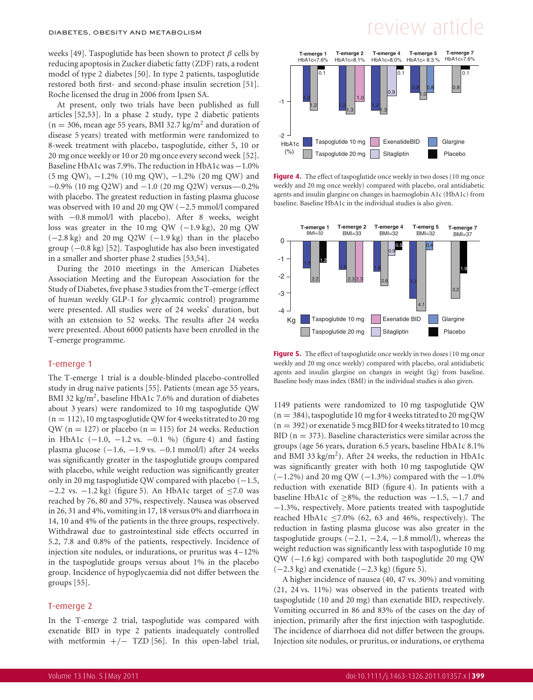weeks [49]. Taspoglutide has been shown to protect  $\beta$  cells by reducing apoptosis in Zucker diabetic fatty (ZDF) rats, a rodent model of type 2 diabetes [50]. In type 2 patients, taspoglutide restored both first- and second-phase insulin secretion [51]. Roche licensed the drug in 2006 from Ipsen SA.

At present, only two trials have been published as full articles [52,53]. In a phase 2 study, type 2 diabetic patients  $(n = 306)$ , mean age 55 years, BMI 32.7 kg/m<sup>2</sup> and duration of disease 5 years) treated with metformin were randomized to 8-week treatment with placebo, taspoglutide, either 5, 10 or 20 mg once weekly or 10 or 20 mg once every second week [52]. Baseline HbA1c was 7.9%. The reduction in HbA1c was −1.0% (5 mg QW), −1.2% (10 mg QW), −1.2% (20 mg QW) and −0.9% (10 mg Q2W) and −1.0 (20 mg Q2W) versus—0.2% with placebo. The greatest reduction in fasting plasma glucose was observed with 10 and 20 mg QW (−2.5 mmol/l compared with −0.8 mmol/l with placebo). After 8 weeks, weight loss was greater in the 10 mg QW (−1.9 kg), 20 mg QW  $(-2.8 \text{ kg})$  and 20 mg Q2W  $(-1.9 \text{ kg})$  than in the placebo group (−0.8 kg) [52]. Taspoglutide has also been investigated in a smaller and shorter phase 2 studies [53,54].

During the 2010 meetings in the American Diabetes Association Meeting and the European Association for the Study of Diabetes, five phase 3 studies from the T-emerge (*e*ffect of hu*m*an w*e*ekly GLP-1 fo*r g*lyca*e*mic control) programme were presented. All studies were of 24 weeks' duration, but with an extension to 52 weeks. The results after 24 weeks were presented. About 6000 patients have been enrolled in the T-emerge programme.

#### T-emerge 1

The T-emerge 1 trial is a double-blinded placebo-controlled study in drug naïve patients [55]. Patients (mean age 55 years, BMI 32 kg/m<sup>2</sup>, baseline HbA1c 7.6% and duration of diabetes about 3 years) were randomized to 10 mg taspoglutide QW  $(n = 112)$ , 10 mg taspoglutide QW for 4 weeks titrated to 20 mg QW ( $n = 127$ ) or placebo ( $n = 115$ ) for 24 weeks. Reduction in HbA1c (−1.0, −1.2 vs. −0.1 %) (figure 4) and fasting plasma glucose  $(-1.6, -1.9 \text{ vs. } -0.1 \text{ mmol/l})$  after 24 weeks was significantly greater in the taspoglutide groups compared with placebo, while weight reduction was significantly greater only in 20 mg taspoglutide QW compared with placebo  $(-1.5, 1.5)$  $-2.2$  vs.  $-1.2$  kg) (figure 5). An HbA1c target of  $\leq$ 7.0 was reached by 76, 80 and 37%, respectively. Nausea was observed in 26, 31 and 4%, vomiting in 17, 18 versus 0% and diarrhoea in 14, 10 and 4% of the patients in the three groups, respectively. Withdrawal due to gastrointestinal side effects occurred in 5.2, 7.8 and 0.8% of the patients, respectively. Incidence of injection site nodules, or indurations, or pruritus was 4–12% in the taspoglutide groups versus about 1% in the placebo group. Incidence of hypoglycaemia did not differ between the groups [55].

#### T-emerge 2

In the T-emerge 2 trial, taspoglutide was compared with exenatide BID in type 2 patients inadequately controlled with metformin  $+/-$  TZD [56]. In this open-label trial,

## DIABETES, OBESITY AND METABOLISM  $F$  and  $F$  are view articles are very set of  $F$



Figure 4. The effect of taspoglutide once weekly in two doses (10 mg once weekly and 20 mg once weekly) compared with placebo, oral antidiabetic agents and insulin glargine on changes in haemoglobin A1c (HbA1c) from baseline. Baseline HbA1c in the individual studies is also given.



**Figure 5.** The effect of taspoglutide once weekly in two doses (10 mg once weekly and 20 mg once weekly) compared with placebo, oral antidiabetic agents and insulin glargine on changes in weight (kg) from baseline. Baseline body mass index (BMI) in the individual studies is also given.

1149 patients were randomized to 10 mg taspoglutide QW  $(n = 384)$ , taspoglutide 10 mg for 4 weeks titrated to 20 mg QW  $(n = 392)$  or exenatide 5 mcg BID for 4 weeks titrated to 10 mcg BID ( $n = 373$ ). Baseline characteristics were similar across the groups (age 56 years, duration 6.5 years, baseline HbA1c 8.1% and BMI 33 kg/m<sup>2</sup>). After 24 weeks, the reduction in HbA1c was significantly greater with both 10 mg taspoglutide QW  $(-1.2\%)$  and 20 mg QW  $(-1.3\%)$  compared with the  $-1.0\%$ reduction with exenatide BID (figure 4). In patients with a baseline HbA1c of  $\geq$ 8%, the reduction was  $-1.5$ ,  $-1.7$  and −1.3%, respectively. More patients treated with taspoglutide reached HbA1c  $\leq$ 7.0% (62, 63 and 46%, respectively). The reduction in fasting plasma glucose was also greater in the taspoglutide groups  $(-2.1, -2.4, -1.8 \text{ mmol/l})$ , whereas the weight reduction was significantly less with taspoglutide 10 mg QW (−1.6 kg) compared with both taspoglutide 20 mg QW  $(-2.3 \text{ kg})$  and exenatide  $(-2.3 \text{ kg})$  (figure 5).

A higher incidence of nausea (40, 47 vs. 30%) and vomiting (21, 24 vs. 11%) was observed in the patients treated with taspoglutide (10 and 20 mg) than exenatide BID, respectively. Vomiting occurred in 86 and 83% of the cases on the day of injection, primarily after the first injection with taspoglutide. The incidence of diarrhoea did not differ between the groups. Injection site nodules, or pruritus, or indurations, or erythema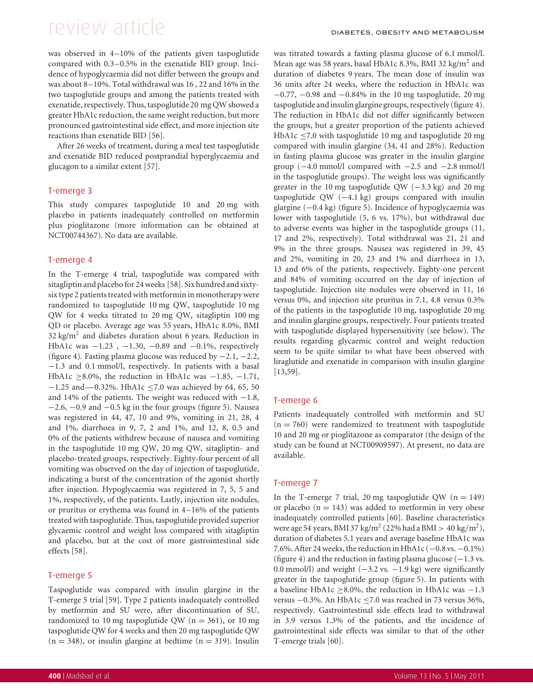# review article DIABETES, OBESITY AND METABOLISM

was observed in 4–10% of the patients given taspoglutide compared with 0.3–0.5% in the exenatide BID group. Incidence of hypoglycaemia did not differ between the groups and was about 8–10%. Total withdrawal was 16 , 22 and 16% in the two taspoglutide groups and among the patients treated with exenatide, respectively. Thus, taspoglutide 20 mg QW showed a greater HbA1c reduction, the same weight reduction, but more pronounced gastrointestinal side effect, and more injection site reactions than exenatide BID [56].

After 26 weeks of treatment, during a meal test taspoglutide and exenatide BID reduced postprandial hyperglycaemia and glucagon to a similar extent [57].

### T-emerge 3

This study compares taspoglutide 10 and 20 mg with placebo in patients inadequately controlled on metformin plus pioglitazone (more information can be obtained at NCT00744367). No data are available.

### T-emerge 4

In the T-emerge 4 trial, taspoglutide was compared with sitagliptin and placebo for 24 weeks [58]. Six hundred and sixtysix type 2 patients treated with metformin in monotherapy were randomized to taspoglutide 10 mg QW, taspoglutide 10 mg QW for 4 weeks titrated to 20 mg QW, sitagliptin 100 mg QD or placebo. Average age was 55 years, HbA1c 8.0%, BMI  $32 \text{ kg/m}^2$  and diabetes duration about 6 years. Reduction in HbA1c was −1.23 , −1.30, −0.89 and −0.1%, respectively (figure 4). Fasting plasma glucose was reduced by −2.1, −2.2, −1.3 and 0.1 mmol/l, respectively. In patients with a basal HbA1c ≥8.0%, the reduction in HbA1c was −1.85, −1.71, −1.25 and—0.32%. HbA1c ≤7.0 was achieved by 64, 65, 50 and 14% of the patients. The weight was reduced with  $-1.8$ , −2.6, −0.9 and −0.5 kg in the four groups (figure 5). Nausea was registered in 44, 47, 10 and 9%, vomiting in 21, 28, 4 and 1%, diarrhoea in 9, 7, 2 and 1%, and 12, 8, 0.5 and 0% of the patients withdrew because of nausea and vomiting in the taspoglutide 10 mg QW, 20 mg QW, sitagliptin- and placebo-treated groups, respectively. Eighty-four percent of all vomiting was observed on the day of injection of taspoglutide, indicating a burst of the concentration of the agonist shortly after injection. Hypoglycaemia was registered in 7, 5, 5 and 1%, respectively, of the patients. Lastly, injection site nodules, or pruritus or erythema was found in 4–16% of the patients treated with taspoglutide. Thus, taspoglutide provided superior glycaemic control and weight loss compared with sitagliptin and placebo, but at the cost of more gastrointestinal side effects [58].

### T-emerge 5

Taspoglutide was compared with insulin glargine in the T-emerge 5 trial [59]. Type 2 patients inadequately controlled by metformin and SU were, after discontinuation of SU, randomized to 10 mg taspoglutide QW ( $n = 361$ ), or 10 mg taspoglutide QW for 4 weeks and then 20 mg taspoglutide QW  $(n = 348)$ , or insulin glargine at bedtime  $(n = 319)$ . Insulin

was titrated towards a fasting plasma glucose of 6.1 mmol/l. Mean age was 58 years, basal HbA1c 8.3%, BMI 32 kg/m<sup>2</sup> and duration of diabetes 9 years. The mean dose of insulin was 36 units after 24 weeks, where the reduction in HbA1c was −0.77, −0.98 and −0.84% in the 10 mg taspoglutide, 20 mg taspoglutide and insulin glargine groups, respectively (figure 4). The reduction in HbA1c did not differ significantly between the groups, but a greater proportion of the patients achieved HbA1c ≤7.0 with taspoglutide 10 mg and taspoglutide 20 mg compared with insulin glargine (34, 41 and 28%). Reduction in fasting plasma glucose was greater in the insulin glargine group  $(-4.0 \text{ mmol/l}$  compared with  $-2.5 \text{ and } -2.8 \text{ mmol/l}$ in the taspoglutide groups). The weight loss was significantly greater in the 10 mg taspoglutide QW (−3.3 kg) and 20 mg taspoglutide QW (−4.1 kg) groups compared with insulin glargine (−0.4 kg) (figure 5). Incidence of hypoglycaemia was lower with taspoglutide (5, 6 vs. 17%), but withdrawal due to adverse events was higher in the taspoglutide groups (11, 17 and 2%, respectively). Total withdrawal was 21, 21 and 9% in the three groups. Nausea was registered in 39, 45 and 2%, vomiting in 20, 23 and 1% and diarrhoea in 13, 13 and 6% of the patients, respectively. Eighty-one percent and 84% of vomiting occurred on the day of injection of taspoglutide. Injection site nodules were observed in 11, 16 versus 0%, and injection site pruritus in 7.1, 4.8 versus 0.3% of the patients in the taspoglutide 10 mg, taspoglutide 20 mg and insulin glargine groups, respectively. Four patients treated with taspoglutide displayed hypersensitivity (see below). The results regarding glycaemic control and weight reduction seem to be quite similar to what have been observed with liraglutide and exenatide in comparison with insulin glargine [13,59].

### T-emerge 6

Patients inadequately controlled with metformin and SU  $(n = 760)$  were randomized to treatment with taspoglutide 10 and 20 mg or pioglitazone as comparator (the design of the study can be found at NCT00909597). At present, no data are available.

### T-emerge 7

In the T-emerge 7 trial, 20 mg taspoglutide QW ( $n = 149$ ) or placebo  $(n = 143)$  was added to metformin in very obese inadequately controlled patients [60]. Baseline characteristics were age 54 years, BMI 37 kg/m<sup>2</sup> (22% had a BMI > 40 kg/m<sup>2</sup>), duration of diabetes 5.1 years and average baseline HbA1c was 7.6%. After 24 weeks, the reduction in HbA1c  $(-0.8 \text{ vs. } -0.1\%)$ (figure 4) and the reduction in fasting plasma glucose  $(-1.3 \text{ vs.})$ 0.0 mmol/l) and weight  $(-3.2 \text{ vs. } -1.9 \text{ kg})$  were significantly greater in the taspoglutide group (figure 5). In patients with a baseline HbA1c ≥8.0%, the reduction in HbA1c was −1.3 versus −0.3%. An HbA1c ≤7.0 was reached in 73 versus 36%, respectively. Gastrointestinal side effects lead to withdrawal in 3.9 versus 1.3% of the patients, and the incidence of gastrointestinal side effects was similar to that of the other T-emerge trials [60].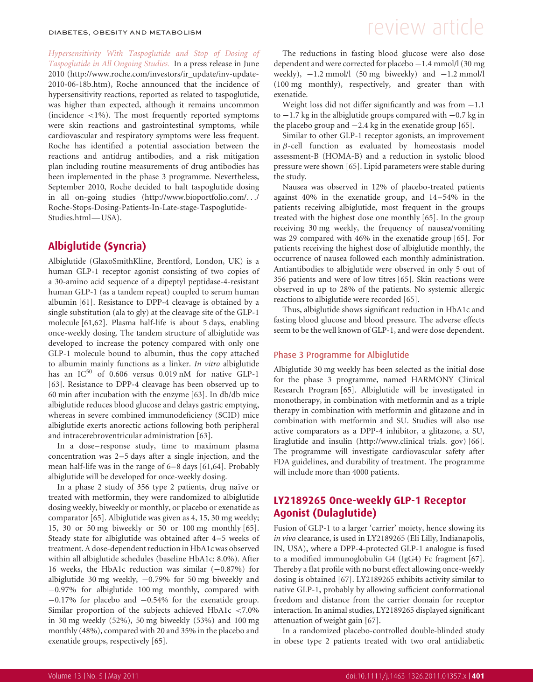*Hypersensitivity With Taspoglutide and Stop of Dosing of Taspoglutide in All Ongoing Studies.* In a press release in June 2010 (http://www.roche.com/investors/ir\_update/inv-update-2010-06-18b.htm), Roche announced that the incidence of hypersensitivity reactions, reported as related to taspoglutide, was higher than expected, although it remains uncommon (incidence  $\langle 1\% \rangle$ ). The most frequently reported symptoms were skin reactions and gastrointestinal symptoms, while cardiovascular and respiratory symptoms were less frequent. Roche has identified a potential association between the reactions and antidrug antibodies, and a risk mitigation plan including routine measurements of drug antibodies has been implemented in the phase 3 programme. Nevertheless, September 2010, Roche decided to halt taspoglutide dosing in all on-going studies (http://www.bioportfolio.com/.../ Roche-Stops-Dosing-Patients-In-Late-stage-Taspoglutide-Studies.html—USA).

### **Albiglutide (Syncria)**

Albiglutide (GlaxoSmithKline, Brentford, London, UK) is a human GLP-1 receptor agonist consisting of two copies of a 30-amino acid sequence of a dipeptyl peptidase-4-resistant human GLP-1 (as a tandem repeat) coupled to serum human albumin [61]. Resistance to DPP-4 cleavage is obtained by a single substitution (ala to gly) at the cleavage site of the GLP-1 molecule [61,62]. Plasma half-life is about 5 days, enabling once-weekly dosing. The tandem structure of albiglutide was developed to increase the potency compared with only one GLP-1 molecule bound to albumin, thus the copy attached to albumin mainly functions as a linker. *In vitro* albiglutide has an  $IC^{50}$  of 0.606 versus 0.019 nM for native GLP-1 [63]. Resistance to DPP-4 cleavage has been observed up to 60 min after incubation with the enzyme [63]. In db/db mice albiglutide reduces blood glucose and delays gastric emptying, whereas in severe combined immunodeficiency (SCID) mice albiglutide exerts anorectic actions following both peripheral and intracerebroventricular administration [63].

In a dose–response study, time to maximum plasma concentration was 2–5 days after a single injection, and the mean half-life was in the range of 6–8 days [61,64]. Probably albiglutide will be developed for once-weekly dosing.

In a phase 2 study of 356 type 2 patients, drug naïve or treated with metformin, they were randomized to albiglutide dosing weekly, biweekly or monthly, or placebo or exenatide as comparator [65]. Albiglutide was given as 4, 15, 30 mg weekly; 15, 30 or 50 mg biweekly or 50 or 100 mg monthly [65]. Steady state for albiglutide was obtained after 4–5 weeks of treatment. A dose-dependent reduction in HbA1c was observed within all albiglutide schedules (baseline HbA1c: 8.0%). After 16 weeks, the HbA1c reduction was similar (−0.87%) for albiglutide 30 mg weekly, −0.79% for 50 mg biweekly and −0.97% for albiglutide 100 mg monthly, compared with −0.17% for placebo and −0.54% for the exenatide group. Similar proportion of the subjects achieved HbA1c <7.0% in 30 mg weekly (52%), 50 mg biweekly (53%) and 100 mg monthly (48%), compared with 20 and 35% in the placebo and exenatide groups, respectively [65].

# DIABETES, OBESITY AND METABOLISM  $F$  and  $F$  are view articles are very set of  $F$  and  $F$  are very set of  $F$

The reductions in fasting blood glucose were also dose dependent and were corrected for placebo −1.4 mmol/l (30 mg weekly),  $-1.2$  mmol/l (50 mg biweekly) and  $-1.2$  mmol/l (100 mg monthly), respectively, and greater than with exenatide.

Weight loss did not differ significantly and was from −1.1 to −1.7 kg in the albiglutide groups compared with −0.7 kg in the placebo group and  $-2.4$  kg in the exenatide group [65].

Similar to other GLP-1 receptor agonists, an improvement in  $\beta$ -cell function as evaluated by homeostasis model assessment-B (HOMA-B) and a reduction in systolic blood pressure were shown [65]. Lipid parameters were stable during the study.

Nausea was observed in 12% of placebo-treated patients against 40% in the exenatide group, and 14–54% in the patients receiving albiglutide, most frequent in the groups treated with the highest dose one monthly [65]. In the group receiving 30 mg weekly, the frequency of nausea/vomiting was 29 compared with 46% in the exenatide group [65]. For patients receiving the highest dose of albiglutide monthly, the occurrence of nausea followed each monthly administration. Antiantibodies to albiglutide were observed in only 5 out of 356 patients and were of low titres [65]. Skin reactions were observed in up to 28% of the patients. No systemic allergic reactions to albiglutide were recorded [65].

Thus, albiglutide shows significant reduction in HbA1c and fasting blood glucose and blood pressure. The adverse effects seem to be the well known of GLP-1, and were dose dependent.

#### Phase 3 Programme for Albiglutide

Albiglutide 30 mg weekly has been selected as the initial dose for the phase 3 programme, named HARMONY Clinical Research Program [65]. Albiglutide will be investigated in monotherapy, in combination with metformin and as a triple therapy in combination with metformin and glitazone and in combination with metformin and SU. Studies will also use active comparators as a DPP-4 inhibitor, a glitazone, a SU, liraglutide and insulin (http://www.clinical trials. gov) [66]. The programme will investigate cardiovascular safety after FDA guidelines, and durability of treatment. The programme will include more than 4000 patients.

### **LY2189265 Once-weekly GLP-1 Receptor Agonist (Dulaglutide)**

Fusion of GLP-1 to a larger 'carrier' moiety, hence slowing its *in vivo* clearance, is used in LY2189265 (Eli Lilly, Indianapolis, IN, USA), where a DPP-4-protected GLP-1 analogue is fused to a modified immunoglobulin G4 (IgG4) Fc fragment [67]. Thereby a flat profile with no burst effect allowing once-weekly dosing is obtained [67]. LY2189265 exhibits activity similar to native GLP-1, probably by allowing sufficient conformational freedom and distance from the carrier domain for receptor interaction. In animal studies, LY2189265 displayed significant attenuation of weight gain [67].

In a randomized placebo-controlled double-blinded study in obese type 2 patients treated with two oral antidiabetic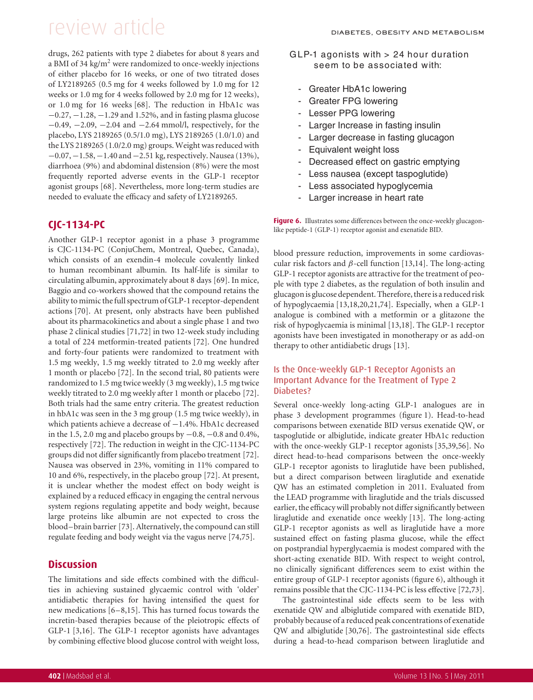drugs, 262 patients with type 2 diabetes for about 8 years and a BMI of 34 kg/m<sup>2</sup> were randomized to once-weekly injections of either placebo for 16 weeks, or one of two titrated doses of LY2189265 (0.5 mg for 4 weeks followed by 1.0 mg for 12 weeks or 1.0 mg for 4 weeks followed by 2.0 mg for 12 weeks), or 1.0 mg for 16 weeks [68]. The reduction in HbA1c was −0.27, −1.28, −1.29 and 1.52%, and in fasting plasma glucose −0.49, −2.09, −2.04 and −2.64 mmol/l, respectively, for the placebo, LYS 2189265 (0.5/1.0 mg), LYS 2189265 (1.0/1.0) and the LYS 2189265 (1.0/2.0 mg) groups. Weight was reduced with −0.07,−1.58,−1.40 and−2.51 kg, respectively. Nausea (13%), diarrhoea (9%) and abdominal distension (8%) were the most frequently reported adverse events in the GLP-1 receptor agonist groups [68]. Nevertheless, more long-term studies are needed to evaluate the efficacy and safety of LY2189265.

### **CJC-1134-PC**

Another GLP-1 receptor agonist in a phase 3 programme is CJC-1134-PC (ConjuChem, Montreal, Quebec, Canada), which consists of an exendin-4 molecule covalently linked to human recombinant albumin. Its half-life is similar to circulating albumin, approximately about 8 days [69]. In mice, Baggio and co-workers showed that the compound retains the ability to mimic the full spectrum of GLP-1 receptor-dependent actions [70]. At present, only abstracts have been published about its pharmacokinetics and about a single phase 1 and two phase 2 clinical studies [71,72] in two 12-week study including a total of 224 metformin-treated patients [72]. One hundred and forty-four patients were randomized to treatment with 1.5 mg weekly, 1.5 mg weekly titrated to 2.0 mg weekly after 1 month or placebo [72]. In the second trial, 80 patients were randomized to 1.5 mg twice weekly (3 mg weekly), 1.5 mg twice weekly titrated to 2.0 mg weekly after 1 month or placebo [72]. Both trials had the same entry criteria. The greatest reduction in hbA1c was seen in the 3 mg group (1.5 mg twice weekly), in which patients achieve a decrease of −1.4%. HbA1c decreased in the 1.5, 2.0 mg and placebo groups by  $-0.8$ ,  $-0.8$  and 0.4%, respectively [72]. The reduction in weight in the CJC-1134-PC groups did not differ significantly from placebo treatment [72]. Nausea was observed in 23%, vomiting in 11% compared to 10 and 6%, respectively, in the placebo group [72]. At present, it is unclear whether the modest effect on body weight is explained by a reduced efficacy in engaging the central nervous system regions regulating appetite and body weight, because large proteins like albumin are not expected to cross the blood–brain barrier [73]. Alternatively, the compound can still regulate feeding and body weight via the vagus nerve [74,75].

### **Discussion**

The limitations and side effects combined with the difficulties in achieving sustained glycaemic control with 'older' antidiabetic therapies for having intensified the quest for new medications [6–8,15]. This has turned focus towards the incretin-based therapies because of the pleiotropic effects of GLP-1 [3,16]. The GLP-1 receptor agonists have advantages by combining effective blood glucose control with weight loss,

- G LP-1 agonists with > 24 hour duration seem to be associated with:
	- Greater HbA1c lowering
	- Greater FPG lowering
	- Lesser PPG lowering
	- Larger Increase in fasting insulin
	- Larger decrease in fasting glucagon
	- Equivalent weight loss
	- Decreased effect on gastric emptying
	- Less nausea (except taspoglutide)
	- Less associated hypoglycemia
	- Larger increase in heart rate

**Figure 6.** Illustrates some differences between the once-weekly glucagonlike peptide-1 (GLP-1) receptor agonist and exenatide BID.

blood pressure reduction, improvements in some cardiovascular risk factors and β-cell function [13,14]. The long-acting GLP-1 receptor agonists are attractive for the treatment of people with type 2 diabetes, as the regulation of both insulin and glucagonis glucose dependent. Therefore, thereis a reduced risk of hypoglycaemia [13,18,20,21,74]. Especially, when a GLP-1 analogue is combined with a metformin or a glitazone the risk of hypoglycaemia is minimal [13,18]. The GLP-1 receptor agonists have been investigated in monotherapy or as add-on therapy to other antidiabetic drugs [13].

### Is the Once-weekly GLP-1 Receptor Agonists an Important Advance for the Treatment of Type 2 Diabetes?

Several once-weekly long-acting GLP-1 analogues are in phase 3 development programmes (figure 1). Head-to-head comparisons between exenatide BID versus exenatide QW, or taspoglutide or albiglutide, indicate greater HbA1c reduction with the once-weekly GLP-1 receptor agonists [35,39,56]. No direct head-to-head comparisons between the once-weekly GLP-1 receptor agonists to liraglutide have been published, but a direct comparison between liraglutide and exenatide QW has an estimated completion in 2011. Evaluated from the LEAD programme with liraglutide and the trials discussed earlier, the efficacy will probably not differ significantly between liraglutide and exenatide once weekly [13]. The long-acting GLP-1 receptor agonists as well as liraglutide have a more sustained effect on fasting plasma glucose, while the effect on postprandial hyperglycaemia is modest compared with the short-acting exenatide BID. With respect to weight control, no clinically significant differences seem to exist within the entire group of GLP-1 receptor agonists (figure 6), although it remains possible that the CJC-1134-PC is less effective [72,73].

The gastrointestinal side effects seem to be less with exenatide QW and albiglutide compared with exenatide BID, probably because of a reduced peak concentrations of exenatide QW and albiglutide [30,76]. The gastrointestinal side effects during a head-to-head comparison between liraglutide and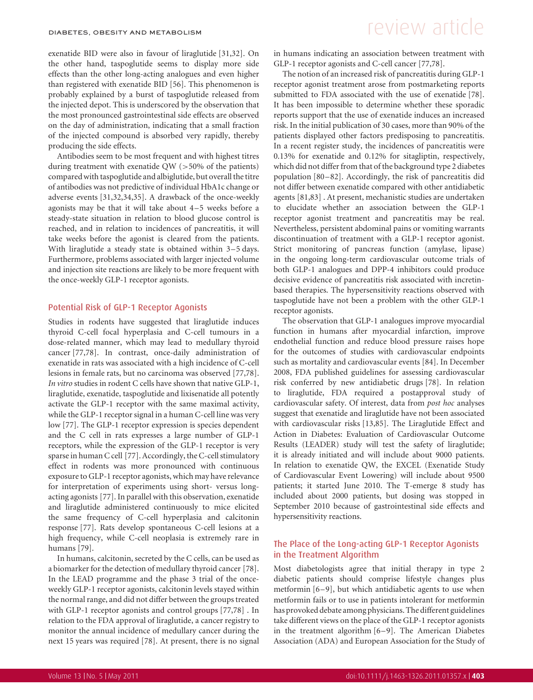exenatide BID were also in favour of liraglutide [31,32]. On the other hand, taspoglutide seems to display more side effects than the other long-acting analogues and even higher than registered with exenatide BID [56]. This phenomenon is probably explained by a burst of taspoglutide released from the injected depot. This is underscored by the observation that the most pronounced gastrointestinal side effects are observed on the day of administration, indicating that a small fraction of the injected compound is absorbed very rapidly, thereby producing the side effects.

Antibodies seem to be most frequent and with highest titres during treatment with exenatide QW (>50% of the patients) compared with taspoglutide and albiglutide, but overall the titre of antibodies was not predictive of individual HbA1c change or adverse events [31,32,34,35]. A drawback of the once-weekly agonists may be that it will take about 4–5 weeks before a steady-state situation in relation to blood glucose control is reached, and in relation to incidences of pancreatitis, it will take weeks before the agonist is cleared from the patients. With liraglutide a steady state is obtained within 3–5 days. Furthermore, problems associated with larger injected volume and injection site reactions are likely to be more frequent with the once-weekly GLP-1 receptor agonists.

#### Potential Risk of GLP-1 Receptor Agonists

Studies in rodents have suggested that liraglutide induces thyroid C-cell focal hyperplasia and C-cell tumours in a dose-related manner, which may lead to medullary thyroid cancer [77,78]. In contrast, once-daily administration of exenatide in rats was associated with a high incidence of C-cell lesions in female rats, but no carcinoma was observed [77,78]. *In vitro* studies in rodent C cells have shown that native GLP-1, liraglutide, exenatide, taspoglutide and lixisenatide all potently activate the GLP-1 receptor with the same maximal activity, while the GLP-1 receptor signal in a human C-cell line was very low [77]. The GLP-1 receptor expression is species dependent and the C cell in rats expresses a large number of GLP-1 receptors, while the expression of the GLP-1 receptor is very sparse in human C cell [77]. Accordingly, the C-cell stimulatory effect in rodents was more pronounced with continuous exposure to GLP-1 receptor agonists, which may have relevance for interpretation of experiments using short- versus longacting agonists [77]. In parallel with this observation, exenatide and liraglutide administered continuously to mice elicited the same frequency of C-cell hyperplasia and calcitonin response [77]. Rats develop spontaneous C-cell lesions at a high frequency, while C-cell neoplasia is extremely rare in humans [79].

In humans, calcitonin, secreted by the C cells, can be used as a biomarker for the detection of medullary thyroid cancer [78]. In the LEAD programme and the phase 3 trial of the onceweekly GLP-1 receptor agonists, calcitonin levels stayed within the normal range, and did not differ between the groups treated with GLP-1 receptor agonists and control groups [77,78] . In relation to the FDA approval of liraglutide, a cancer registry to monitor the annual incidence of medullary cancer during the next 15 years was required [78]. At present, there is no signal

## DIABETES, OBESITY AND METABOLISM  $F$  and  $F$  are very article  $F$

in humans indicating an association between treatment with GLP-1 receptor agonists and C-cell cancer [77,78].

The notion of an increased risk of pancreatitis during GLP-1 receptor agonist treatment arose from postmarketing reports submitted to FDA associated with the use of exenatide [78]. It has been impossible to determine whether these sporadic reports support that the use of exenatide induces an increased risk. In the initial publication of 30 cases, more than 90% of the patients displayed other factors predisposing to pancreatitis. In a recent register study, the incidences of pancreatitis were 0.13% for exenatide and 0.12% for sitagliptin, respectively, which did not differ from that of the background type 2 diabetes population [80–82]. Accordingly, the risk of pancreatitis did not differ between exenatide compared with other antidiabetic agents [81,83] . At present, mechanistic studies are undertaken to elucidate whether an association between the GLP-1 receptor agonist treatment and pancreatitis may be real. Nevertheless, persistent abdominal pains or vomiting warrants discontinuation of treatment with a GLP-1 receptor agonist. Strict monitoring of pancreas function (amylase, lipase) in the ongoing long-term cardiovascular outcome trials of both GLP-1 analogues and DPP-4 inhibitors could produce decisive evidence of pancreatitis risk associated with incretinbased therapies. The hypersensitivity reactions observed with taspoglutide have not been a problem with the other GLP-1 receptor agonists.

The observation that GLP-1 analogues improve myocardial function in humans after myocardial infarction, improve endothelial function and reduce blood pressure raises hope for the outcomes of studies with cardiovascular endpoints such as mortality and cardiovascular events [84]. In December 2008, FDA published guidelines for assessing cardiovascular risk conferred by new antidiabetic drugs [78]. In relation to liraglutide, FDA required a postapproval study of cardiovascular safety. Of interest, data from *post hoc* analyses suggest that exenatide and liraglutide have not been associated with cardiovascular risks [13,85]. The Liraglutide Effect and Action in Diabetes: Evaluation of Cardiovascular Outcome Results (LEADER) study will test the safety of liraglutide; it is already initiated and will include about 9000 patients. In relation to exenatide QW, the EXCEL (Exenatide Study of Cardiovascular Event Lowering) will include about 9500 patients; it started June 2010. The T-emerge 8 study has included about 2000 patients, but dosing was stopped in September 2010 because of gastrointestinal side effects and hypersensitivity reactions.

### The Place of the Long-acting GLP-1 Receptor Agonists in the Treatment Algorithm

Most diabetologists agree that initial therapy in type 2 diabetic patients should comprise lifestyle changes plus metformin [6–9], but which antidiabetic agents to use when metformin fails or to use in patients intolerant for metformin has provoked debate among physicians. The different guidelines take different views on the place of the GLP-1 receptor agonists in the treatment algorithm [6–9]. The American Diabetes Association (ADA) and European Association for the Study of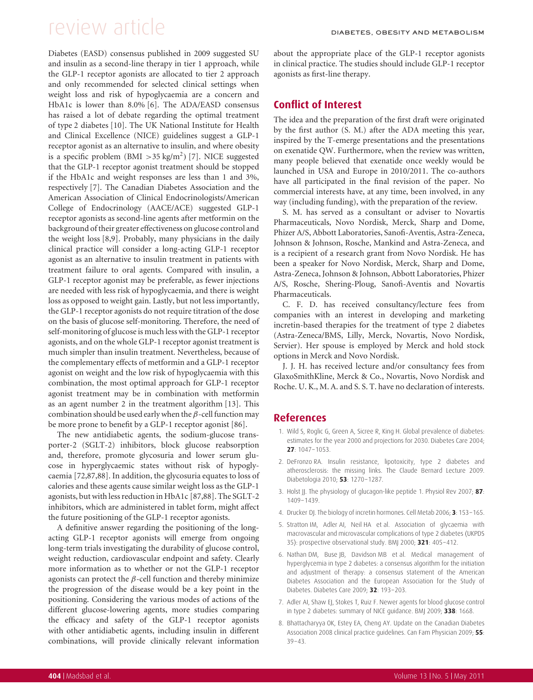Diabetes (EASD) consensus published in 2009 suggested SU and insulin as a second-line therapy in tier 1 approach, while the GLP-1 receptor agonists are allocated to tier 2 approach and only recommended for selected clinical settings when weight loss and risk of hypoglycaemia are a concern and HbA1c is lower than 8.0% [6]. The ADA/EASD consensus has raised a lot of debate regarding the optimal treatment of type 2 diabetes [10]. The UK National Institute for Health and Clinical Excellence (NICE) guidelines suggest a GLP-1 receptor agonist as an alternative to insulin, and where obesity is a specific problem  $(BMI > 35 kg/m<sup>2</sup>)$  [7]. NICE suggested that the GLP-1 receptor agonist treatment should be stopped if the HbA1c and weight responses are less than 1 and 3%, respectively [7]. The Canadian Diabetes Association and the American Association of Clinical Endocrinologists/American College of Endocrinology (AACE/ACE) suggested GLP-1 receptor agonists as second-line agents after metformin on the background of their greater effectiveness on glucose control and the weight loss [8,9]. Probably, many physicians in the daily clinical practice will consider a long-acting GLP-1 receptor agonist as an alternative to insulin treatment in patients with treatment failure to oral agents. Compared with insulin, a GLP-1 receptor agonist may be preferable, as fewer injections are needed with less risk of hypoglycaemia, and there is weight loss as opposed to weight gain. Lastly, but not less importantly, the GLP-1 receptor agonists do not require titration of the dose on the basis of glucose self-monitoring. Therefore, the need of self-monitoring of glucose is much less with the GLP-1 receptor agonists, and on the whole GLP-1 receptor agonist treatment is much simpler than insulin treatment. Nevertheless, because of the complementary effects of metformin and a GLP-1 receptor agonist on weight and the low risk of hypoglycaemia with this combination, the most optimal approach for GLP-1 receptor agonist treatment may be in combination with metformin as an agent number 2 in the treatment algorithm [13]. This combination should be used early when the  $\beta$ -cell function may be more prone to benefit by a GLP-1 receptor agonist [86].

The new antidiabetic agents, the sodium-glucose transporter-2 (SGLT-2) inhibitors, block glucose reabsorption and, therefore, promote glycosuria and lower serum glucose in hyperglycaemic states without risk of hypoglycaemia [72,87,88]. In addition, the glycosuria equates to loss of calories and these agents cause similar weight loss as the GLP-1 agonists, but with less reduction in HbA1c [87,88]. The SGLT-2 inhibitors, which are administered in tablet form, might affect the future positioning of the GLP-1 receptor agonists.

A definitive answer regarding the positioning of the longacting GLP-1 receptor agonists will emerge from ongoing long-term trials investigating the durability of glucose control, weight reduction, cardiovascular endpoint and safety. Clearly more information as to whether or not the GLP-1 receptor agonists can protect the  $\beta$ -cell function and thereby minimize the progression of the disease would be a key point in the positioning. Considering the various modes of actions of the different glucose-lowering agents, more studies comparing the efficacy and safety of the GLP-1 receptor agonists with other antidiabetic agents, including insulin in different combinations, will provide clinically relevant information

about the appropriate place of the GLP-1 receptor agonists in clinical practice. The studies should include GLP-1 receptor agonists as first-line therapy.

### **Conflict of Interest**

The idea and the preparation of the first draft were originated by the first author (S. M.) after the ADA meeting this year, inspired by the T-emerge presentations and the presentations on exenatide QW. Furthermore, when the review was written, many people believed that exenatide once weekly would be launched in USA and Europe in 2010/2011. The co-authors have all participated in the final revision of the paper. No commercial interests have, at any time, been involved, in any way (including funding), with the preparation of the review.

S. M. has served as a consultant or adviser to Novartis Pharmaceuticals, Novo Nordisk, Merck, Sharp and Dome, Phizer A/S, Abbott Laboratories, Sanofi-Aventis, Astra-Zeneca, Johnson & Johnson, Rosche, Mankind and Astra-Zeneca, and is a recipient of a research grant from Novo Nordisk. He has been a speaker for Novo Nordisk, Merck, Sharp and Dome, Astra-Zeneca, Johnson & Johnson, Abbott Laboratories, Phizer A/S, Rosche, Shering-Ploug, Sanofi-Aventis and Novartis Pharmaceuticals.

C. F. D. has received consultancy/lecture fees from companies with an interest in developing and marketing incretin-based therapies for the treatment of type 2 diabetes (Astra-Zeneca/BMS, Lilly, Merck, Novartis, Novo Nordisk, Servier). Her spouse is employed by Merck and hold stock options in Merck and Novo Nordisk.

J. J. H. has received lecture and/or consultancy fees from GlaxoSmithKline, Merck & Co., Novartis, Novo Nordisk and Roche. U. K., M. A. and S. S. T. have no declaration of interests.

### **References**

- 1. Wild S, Roglic G, Green A, Sicree R, King H. Global prevalence of diabetes: estimates for the year 2000 and projections for 2030. Diabetes Care 2004; **27**: 1047–1053.
- 2. DeFronzo RA. Insulin resistance, lipotoxicity, type 2 diabetes and atherosclerosis: the missing links. The Claude Bernard Lecture 2009. Diabetologia 2010; **53**: 1270–1287.
- 3. Holst JJ. The physiology of glucagon-like peptide 1. Physiol Rev 2007; **87**: 1409–1439.
- 4. Drucker DJ. The biology of incretin hormones. Cell Metab 2006; **3**: 153–165.
- 5. Stratton IM, Adler AI, Neil HA et al. Association of glycaemia with macrovascular and microvascular complications of type 2 diabetes (UKPDS 35): prospective observational study. BMJ 2000; **321**: 405–412.
- 6. Nathan DM, Buse JB, Davidson MB et al. Medical management of hyperglycemia in type 2 diabetes: a consensus algorithm for the initiation and adjustment of therapy: a consensus statement of the American Diabetes Association and the European Association for the Study of Diabetes. Diabetes Care 2009; **32**: 193–203.
- 7. Adler AI, Shaw EJ, Stokes T, Ruiz F. Newer agents for blood glucose control in type 2 diabetes: summary of NICE guidance. BMJ 2009; **338**: 1668.
- 8. Bhattacharyya OK, Estey EA, Cheng AY. Update on the Canadian Diabetes Association 2008 clinical practice guidelines. Can Fam Physician 2009; **55**: 39–43.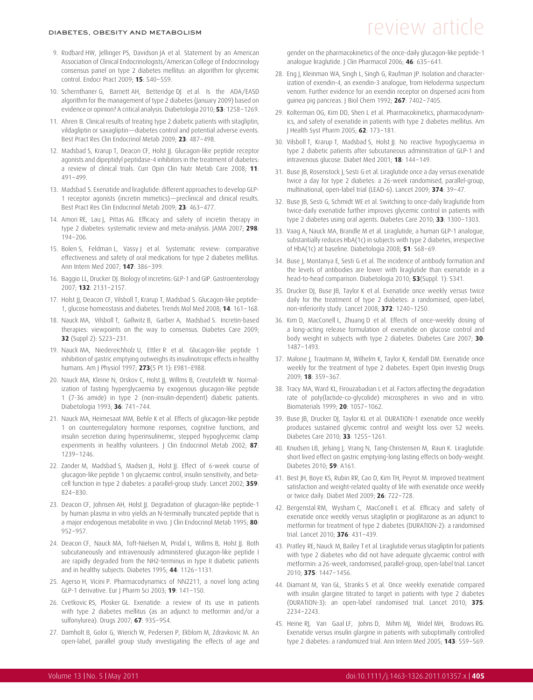- 9. Rodbard HW, Jellinger PS, Davidson JA et al. Statement by an American Association of Clinical Endocrinologists/American College of Endocrinology consensus panel on type 2 diabetes mellitus: an algorithm for glycemic control. Endocr Pract 2009; **15**: 540–559.
- 10. Schernthaner G, Barnett AH, Betteridge DJ et al. Is the ADA/EASD algorithm for the management of type 2 diabetes (January 2009) based on evidence or opinion? A critical analysis. Diabetologia 2010; **53**: 1258–1269.
- 11. Ahren B. Clinical results of treating type 2 diabetic patients with sitagliptin, vildagliptin or saxagliptin—diabetes control and potential adverse events. Best Pract Res Clin Endocrinol Metab 2009; **23**: 487–498.
- 12. Madsbad S, Krarup T, Deacon CF, Holst JJ. Glucagon-like peptide receptor agonists and dipeptidyl peptidase-4 inhibitors in the treatment of diabetes: a review of clinical trials. Curr Opin Clin Nutr Metab Care 2008; **11**: 491–499.
- 13. Madsbad S. Exenatide and liraglutide: different approaches to develop GLP-1 receptor agonists (incretin mimetics)—preclinical and clinical results. Best Pract Res Clin Endocrinol Metab 2009; **23**: 463–477.
- 14. Amori RE, Lau J, Pittas AG. Efficacy and safety of incretin therapy in type 2 diabetes: systematic review and meta-analysis. JAMA 2007; **298**: 194–206.
- 15. Bolen S, Feldman L, Vassy J et al. Systematic review: comparative effectiveness and safety of oral medications for type 2 diabetes mellitus. Ann Intern Med 2007; **147**: 386–399.
- 16. Baggio LL, Drucker DJ. Biology of incretins: GLP-1 and GIP. Gastroenterology 2007; **132**: 2131–2157.
- 17. Holst JJ, Deacon CF, Vilsboll T, Krarup T, Madsbad S. Glucagon-like peptide-1, glucose homeostasis and diabetes. Trends Mol Med 2008; **14**: 161–168.
- 18. Nauck MA, Vilsboll T, Gallwitz B, Garber A, Madsbad S. Incretin-based therapies: viewpoints on the way to consensus. Diabetes Care 2009; **32** (Suppl 2): S223–231.
- 19. Nauck MA, Niedereichholz U, Ettler R et al. Glucagon-like peptide 1 inhibition of gastric emptying outweighs its insulinotropic effects in healthy humans. Am J Physiol 1997; **273**(5 Pt 1): E981–E988.
- 20. Nauck MA, Kleine N, Orskov C, Holst JJ, Willms B, Creutzfeldt W. Normalization of fasting hyperglycaemia by exogenous glucagon-like peptide 1 (7-36 amide) in type 2 (non-insulin-dependent) diabetic patients. Diabetologia 1993; **36**: 741–744.
- 21. Nauck MA, Heimesaat MM, Behle K et al. Effects of glucagon-like peptide 1 on counterregulatory hormone responses, cognitive functions, and insulin secretion during hyperinsulinemic, stepped hypoglycemic clamp experiments in healthy volunteers. J Clin Endocrinol Metab 2002; 87: 1239–1246.
- 22. Zander M, Madsbad S, Madsen JL, Holst JJ. Effect of 6-week course of glucagon-like peptide 1 on glycaemic control, insulin sensitivity, and betacell function in type 2 diabetes: a parallel-group study. Lancet 2002; **359**: 824–830.
- 23. Deacon CF, Johnsen AH, Holst JJ. Degradation of glucagon-like peptide-1 by human plasma in vitro yields an N-terminally truncated peptide that is a major endogenous metabolite in vivo. J Clin Endocrinol Metab 1995; **80**: 952–957.
- 24. Deacon CF, Nauck MA, Toft-Nielsen M, Pridal L, Willms B, Holst JJ. Both subcutaneously and intravenously administered glucagon-like peptide I are rapidly degraded from the NH2-terminus in type II diabetic patients and in healthy subjects. Diabetes 1995; **44**: 1126–1131.
- 25. Agerso H, Vicini P. Pharmacodynamics of NN2211, a novel long acting GLP-1 derivative. Eur J Pharm Sci 2003; **19**: 141–150.
- 26. Cvetkovic RS, Plosker GL. Exenatide: a review of its use in patients with type 2 diabetes mellitus (as an adjunct to metformin and/or a sulfonylurea). Drugs 2007; **67**: 935–954.
- 27. Damholt B, Golor G, Wierich W, Pedersen P, Ekblom M, Zdravkovic M. An open-label, parallel group study investigating the effects of age and

## DIABETES, OBESITY AND METABOLISM  $F$  and  $F$  are very article  $F$

gender on the pharmacokinetics of the once-daily glucagon-like peptide-1 analogue liraglutide. J Clin Pharmacol 2006; **46**: 635–641.

- 28. Eng J, Kleinman WA, Singh L, Singh G, Raufman JP. Isolation and characterization of exendin-4, an exendin-3 analogue, from Heloderma suspectum venom. Further evidence for an exendin receptor on dispersed acini from guinea pig pancreas. J Biol Chem 1992; **267**: 7402–7405.
- 29. Kolterman OG, Kim DD, Shen L et al. Pharmacokinetics, pharmacodynamics, and safety of exenatide in patients with type 2 diabetes mellitus. Am J Health Syst Pharm 2005; **62**: 173–181.
- 30. Vilsboll T, Krarup T, Madsbad S, Holst JJ. No reactive hypoglycaemia in type 2 diabetic patients after subcutaneous administration of GLP-1 and intravenous glucose. Diabet Med 2001; **18**: 144–149.
- 31. Buse JB, Rosenstock J, Sesti G et al. Liraglutide once a day versus exenatide twice a day for type 2 diabetes: a 26-week randomised, parallel-group, multinational, open-label trial (LEAD-6). Lancet 2009; **374**: 39–47.
- 32. Buse JB, Sesti G, Schmidt WE et al. Switching to once-daily liraglutide from twice-daily exenatide further improves glycemic control in patients with type 2 diabetes using oral agents. Diabetes Care 2010; **33**: 1300–1303.
- 33. Vaag A, Nauck MA, Brandle M et al. Liraglutide, a human GLP-1 analogue, substantially reduces HbA(1c) in subjects with type 2 diabetes, irrespective of HbA(1c) at baseline. Diabetologia 2008; **51**: S68–69.
- 34. Buse J, Montanya E, Sesti G et al. The incidence of antibody formation and the levels of antibodies are lower with liraglutide than exenatide in a head-to-head comparison. Diabetologia 2010; **53**(Suppl. 1): S341.
- 35. Drucker DJ, Buse JB, Taylor K et al. Exenatide once weekly versus twice daily for the treatment of type 2 diabetes: a randomised, open-label, non-inferiority study. Lancet 2008; **372**: 1240–1250.
- 36. Kim D, MacConell L, Zhuang D et al. Effects of once-weekly dosing of a long-acting release formulation of exenatide on glucose control and body weight in subjects with type 2 diabetes. Diabetes Care 2007; **30**: 1487–1493.
- 37. Malone J, Trautmann M, Wilhelm K, Taylor K, Kendall DM. Exenatide once weekly for the treatment of type 2 diabetes. Expert Opin Investig Drugs 2009; **18**: 359–367.
- 38. Tracy MA, Ward KL, Firouzabadian L et al. Factors affecting the degradation rate of poly(lactide-co-glycolide) microspheres in vivo and in vitro. Biomaterials 1999; **20**: 1057–1062.
- 39. Buse JB, Drucker DJ, Taylor KL et al. DURATION-1 exenatide once weekly produces sustained glycemic control and weight loss over 52 weeks. Diabetes Care 2010; **33**: 1255–1261.
- 40. Knudsen LB, Jelsing J, Vrang N, Tang-Christensen M, Raun K. Liraglutide: short lived effect on gastric emptying-long lasting effects on body-weight. Diabetes 2010; **59**: A161.
- 41. Best JH, Boye KS, Rubin RR, Cao D, Kim TH, Peyrot M. Improved treatment satisfaction and weight-related quality of life with exenatide once weekly or twice daily. Diabet Med 2009; **26**: 722–728.
- 42. Bergenstal RM, Wysham C, MacConell L et al. Efficacy and safety of exenatide once weekly versus sitagliptin or pioglitazone as an adjunct to metformin for treatment of type 2 diabetes (DURATION-2): a randomised trial. Lancet 2010; **376**: 431–439.
- 43. Pratley RE, Nauck M, Bailey T et al. Liraglutide versus sitagliptin for patients with type 2 diabetes who did not have adequate glycaemic control with metformin: a 26-week, randomised, parallel-group, open-label trial. Lancet 2010; **375**: 1447–1456.
- 44. Diamant M, Van GL, Stranks S et al. Once weekly exenatide compared with insulin glargine titrated to target in patients with type 2 diabetes (DURATION-3): an open-label randomised trial. Lancet 2010; **375**: 2234–2243.
- 45. Heine RJ, Van Gaal LF, Johns D, Mihm MJ, Widel MH, Brodows RG. Exenatide versus insulin glargine in patients with suboptimally controlled type 2 diabetes: a randomized trial. Ann Intern Med 2005; **143**: 559–569.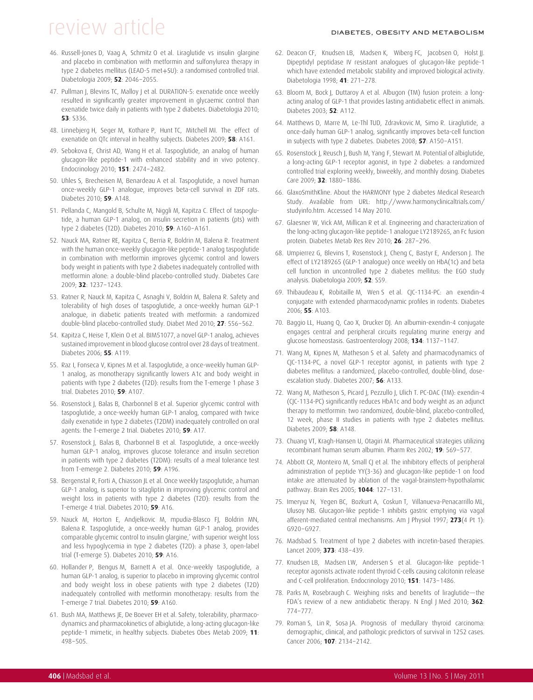- 46. Russell-Jones D, Vaag A, Schmitz O et al. Liraglutide vs insulin glargine and placebo in combination with metformin and sulfonylurea therapy in type 2 diabetes mellitus (LEAD-5 met+SU): a randomised controlled trial. Diabetologia 2009; **52**: 2046–2055.
- 47. Pullman J, Blevins TC, Malloy J et al. DURATION-5: exenatide once weekly resulted in significantly greater improvement in glycaemic control than exenatide twice daily in patients with type 2 diabetes. Diabetologia 2010; **53**: S336.
- 48. Linnebjerg H, Seger M, Kothare P, Hunt TC, Mitchell MI. The effect of exenatide on QTc interval in healthy subjects. Diabetes 2009; **58**: A161.
- 49. Sebokova E, Christ AD, Wang H et al. Taspoglutide, an analog of human glucagon-like peptide-1 with enhanced stability and in vivo potency. Endocrinology 2010; **151**: 2474–2482.
- 50. Uhles S, Brecheisen M, Benardeau A et al. Taspoglutide, a novel human once-weekly GLP-1 analogue, improves beta-cell survival in ZDF rats. Diabetes 2010; **59**: A148.
- 51. Pellanda C, Mangold B, Schulte M, Niggli M, Kapitza C. Effect of taspoglutide, a human GLP-1 analog, on insulin secretion in patients (pts) with type 2 diabetes (T2D). Diabetes 2010; **59**: A160–A161.
- 52. Nauck MA, Ratner RE, Kapitza C, Berria R, Boldrin M, Balena R. Treatment with the human once-weekly glucagon-like peptide-1 analog taspoglutide in combination with metformin improves glycemic control and lowers body weight in patients with type 2 diabetes inadequately controlled with metformin alone: a double-blind placebo-controlled study. Diabetes Care 2009; **32**: 1237–1243.
- 53. Ratner R, Nauck M, Kapitza C, Asnaghi V, Boldrin M, Balena R. Safety and tolerability of high doses of taspoglutide, a once-weekly human GLP-1 analogue, in diabetic patients treated with metformin: a randomized double-blind placebo-controlled study. Diabet Med 2010; **27**: 556–562.
- 54. Kapitza C, Heise T, Klein O et al. BIM51077, a novel GLP-1 analog, achieves sustained improvement in blood glucose control over 28 days of treatment. Diabetes 2006; **55**: A119.
- 55. Raz I, Fonseca V, Kipnes M et al. Taspoglutide, a once-weekly human GLP-1 analog, as monotherapy significantly lowers A1c and body weight in patients with type 2 diabetes (T2D): results from the T-emerge 1 phase 3 trial. Diabetes 2010; **59**: A107.
- 56. Rosenstock J, Balas B, Charbonnel B et al. Superior glycemic control with taspoglutide, a once-weekly human GLP-1 analog, compared with twice daily exenatide in type 2 diabetes (T2DM) inadequately controlled on oral agents: the T-emerge 2 trial. Diabetes 2010; **59**: A17.
- 57. Rosenstock J, Balas B, Charbonnel B et al. Taspoglutide, a once-weekly human GLP-1 analog, improves glucose tolerance and insulin secretion in patients with type 2 diabetes (T2DM): results of a meal tolerance test from T-emerge 2. Diabetes 2010; **59**: A196.
- 58. Bergenstal R, Forti A, Chiasson JL et al. Once weekly taspoglutide, a human GLP-1 analog, is superior to sitagliptin in improving glycemic control and weight loss in patients with type 2 diabetes (T2D): results from the T-emerge 4 trial. Diabetes 2010; **59**: A16.
- 59. Nauck M, Horton E, Andjelkovic M, mpudia-Blasco FJ, Boldrin MN, Balena R. Taspoglutide, a once-weekly human GLP-1 analog, provides comparable glycemic control to insulin glargine,' with superior weight loss and less hypoglycemia in type 2 diabetes (T2D): a phase 3, open-label trial (T-emerge 5). Diabetes 2010; **59**: A16.
- 60. Hollander P, Bengus M, Barnett A et al. Once-weekly taspoglutide, a human GLP-1 analog, is superior to placebo in improving glycemic control and body weight loss in obese patients with type 2 diabetes (T2D) inadequately controlled with metformin monotherapy: results from the T-emerge 7 trial. Diabetes 2010; **59**: A160.
- 61. Bush MA, Matthews JE, De Boever EH et al. Safety, tolerability, pharmacodynamics and pharmacokinetics of albiglutide, a long-acting glucagon-like peptide-1 mimetic, in healthy subjects. Diabetes Obes Metab 2009; **11**: 498–505.
- 62. Deacon CF, Knudsen LB, Madsen K, Wiberg FC, Jacobsen O, Holst JJ. Dipeptidyl peptidase IV resistant analogues of glucagon-like peptide-1 which have extended metabolic stability and improved biological activity. Diabetologia 1998; **41**: 271–278.
- 63. Bloom M, Bock J, Duttaroy A et al. Albugon (TM) fusion protein: a longacting analog of GLP-1 that provides lasting antidiabetic effect in animals. Diabetes 2003; **52**: A112.
- 64. Matthews D, Marre M, Le-Thl TUD, Zdravkovic M, Simo R. Liraglutide, a once-daily human GLP-1 analog, significantly improves beta-cell function in subjects with type 2 diabetes. Diabetes 2008; **57**: A150–A151.
- 65. Rosenstock J, Reusch J, Bush M, Yang F, Stewart M. Potential of albiglutide, a long-acting GLP-1 receptor agonist, in type 2 diabetes: a randomized controlled trial exploring weekly, biweekly, and monthly dosing. Diabetes Care 2009; **32**: 1880–1886.
- 66. GlaxoSmithKline. About the HARMONY type 2 diabetes Medical Research Study. Available from URL: http://www.harmonyclinicaltrials.com/ studyinfo.htm. Accessed 14 May 2010.
- 67. Glaesner W, Vick AM, Millican R et al. Engineering and characterization of the long-acting glucagon-like peptide-1 analogue LY2189265, an Fc fusion protein. Diabetes Metab Res Rev 2010; **26**: 287–296.
- 68. Umpierrez G, Blevins T, Rosenstock J, Cheng C, Bastyr E, Anderson J. The effect of LY2189265 (GLP-1 analogue) once weekly on HbA(1c) and beta cell function in uncontrolled type 2 diabetes mellitus: the EGO study analysis. Diabetologia 2009; **52**: S59.
- 69. Thibaudeau K, Robitaille M, Wen S et al. CJC-1134-PC: an exendin-4 conjugate with extended pharmacodynamic profiles in rodents. Diabetes 2006; **55**: A103.
- 70. Baggio LL, Huang Q, Cao X, Drucker DJ. An albumin-exendin-4 conjugate engages central and peripheral circuits regulating murine energy and glucose homeostasis. Gastroenterology 2008; **134**: 1137–1147.
- 71. Wang M, Kipnes M, Matheson S et al. Safety and pharmacodynamics of CJC-1134-PC, a novel GLP-1 receptor agonist, in patients with type 2 diabetes mellitus: a randomized, placebo-controlled, double-blind, doseescalation study. Diabetes 2007; **56**: A133.
- 72. Wang M, Matheson S, Picard J, Pezzullo J, Ulich T. PC-DAC (TM): exendin-4 (CJC-1134-PC) significantly reduces HbA1c and body weight as an adjunct therapy to metformin: two randomized, double-blind, placebo-controlled, 12 week, phase II studies in patients with type 2 diabetes mellitus. Diabetes 2009; **58**: A148.
- 73. Chuang VT, Kragh-Hansen U, Otagiri M. Pharmaceutical strategies utilizing recombinant human serum albumin. Pharm Res 2002; **19**: 569–577.
- 74. Abbott CR, Monteiro M, Small CJ et al. The inhibitory effects of peripheral administration of peptide YY(3-36) and glucagon-like peptide-1 on food intake are attenuated by ablation of the vagal-brainstem-hypothalamic pathway. Brain Res 2005; **1044**: 127–131.
- 75. Imeryuz N, Yegen BC, Bozkurt A, Coskun T, Villanueva-Penacarrillo ML, Ulusoy NB. Glucagon-like peptide-1 inhibits gastric emptying via vagal afferent-mediated central mechanisms. Am J Physiol 1997; **273**(4 Pt 1): G920–G927.
- 76. Madsbad S. Treatment of type 2 diabetes with incretin-based therapies. Lancet 2009; **373**: 438–439.
- 77. Knudsen LB, Madsen LW, Andersen S et al. Glucagon-like peptide-1 receptor agonists activate rodent thyroid C-cells causing calcitonin release and C-cell proliferation. Endocrinology 2010; **151**: 1473–1486.
- 78. Parks M, Rosebraugh C. Weighing risks and benefits of liraglutide—the FDA's review of a new antidiabetic therapy. N Engl J Med 2010; **362**: 774–777.
- 79. Roman S, Lin R, Sosa JA. Prognosis of medullary thyroid carcinoma: demographic, clinical, and pathologic predictors of survival in 1252 cases. Cancer 2006; **107**: 2134–2142.